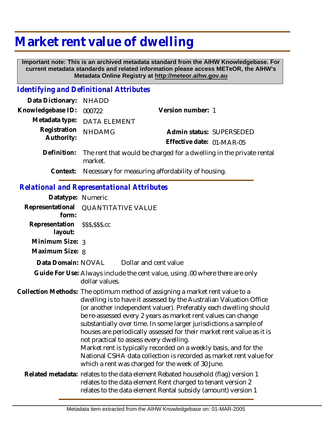# **Market rent value of dwelling**

 **Important note: This is an archived metadata standard from the AIHW Knowledgebase. For current metadata standards and related information please access METeOR, the AIHW's Metadata Online Registry at http://meteor.aihw.gov.au**

## *Identifying and Definitional Attributes*

| Data Dictionary:                                  | <b>NHADD</b>                                                                                                                                                                                                                                                                                                                                                                                                                                                                                                                                                                                                                                                                    |                                                                              |  |
|---------------------------------------------------|---------------------------------------------------------------------------------------------------------------------------------------------------------------------------------------------------------------------------------------------------------------------------------------------------------------------------------------------------------------------------------------------------------------------------------------------------------------------------------------------------------------------------------------------------------------------------------------------------------------------------------------------------------------------------------|------------------------------------------------------------------------------|--|
| Knowledgebase ID:                                 | 000722                                                                                                                                                                                                                                                                                                                                                                                                                                                                                                                                                                                                                                                                          | Version number: 1                                                            |  |
| Metadata type:                                    | <b>DATA ELEMENT</b>                                                                                                                                                                                                                                                                                                                                                                                                                                                                                                                                                                                                                                                             |                                                                              |  |
| Registration<br>Authority:                        | <b>NHDAMG</b>                                                                                                                                                                                                                                                                                                                                                                                                                                                                                                                                                                                                                                                                   | Admin status: SUPERSEDED<br>Effective date: 01-MAR-05                        |  |
| Definition:                                       | The rent that would be charged for a dwelling in the private rental<br>market.                                                                                                                                                                                                                                                                                                                                                                                                                                                                                                                                                                                                  |                                                                              |  |
| Context:                                          |                                                                                                                                                                                                                                                                                                                                                                                                                                                                                                                                                                                                                                                                                 | Necessary for measuring affordability of housing.                            |  |
| <b>Relational and Representational Attributes</b> |                                                                                                                                                                                                                                                                                                                                                                                                                                                                                                                                                                                                                                                                                 |                                                                              |  |
| Datatype: Numeric                                 |                                                                                                                                                                                                                                                                                                                                                                                                                                                                                                                                                                                                                                                                                 |                                                                              |  |
| Representational<br>form:                         | <b>QUANTITATIVE VALUE</b>                                                                                                                                                                                                                                                                                                                                                                                                                                                                                                                                                                                                                                                       |                                                                              |  |
| Representation<br>layout:                         | \$\$\$,\$\$\$.cc                                                                                                                                                                                                                                                                                                                                                                                                                                                                                                                                                                                                                                                                |                                                                              |  |
| Minimum Size: 3                                   |                                                                                                                                                                                                                                                                                                                                                                                                                                                                                                                                                                                                                                                                                 |                                                                              |  |
| Maximum Size: 8                                   |                                                                                                                                                                                                                                                                                                                                                                                                                                                                                                                                                                                                                                                                                 |                                                                              |  |
| Data Domain: NOVAL                                |                                                                                                                                                                                                                                                                                                                                                                                                                                                                                                                                                                                                                                                                                 | Dollar and cent value                                                        |  |
|                                                   | dollar values.                                                                                                                                                                                                                                                                                                                                                                                                                                                                                                                                                                                                                                                                  | Guide For Use: Always include the cent value, using .00 where there are only |  |
|                                                   | Collection Methods: The optimum method of assigning a market rent value to a<br>dwelling is to have it assessed by the Australian Valuation Office<br>(or another independent valuer). Preferably each dwelling should<br>be re-assessed every 2 years as market rent values can change<br>substantially over time. In some larger jurisdictions a sample of<br>houses are periodically assessed for their market rent value as it is<br>not practical to assess every dwelling.<br>Market rent is typically recorded on a weekly basis, and for the<br>National CSHA data collection is recorded as market rent value for<br>which a rent was charged for the week of 30 June. |                                                                              |  |
|                                                   | Related metadata: relates to the data element Rebated household (flag) version 1<br>relates to the data element Rent charged to tenant version 2<br>relates to the data element Rental subsidy (amount) version 1                                                                                                                                                                                                                                                                                                                                                                                                                                                               |                                                                              |  |